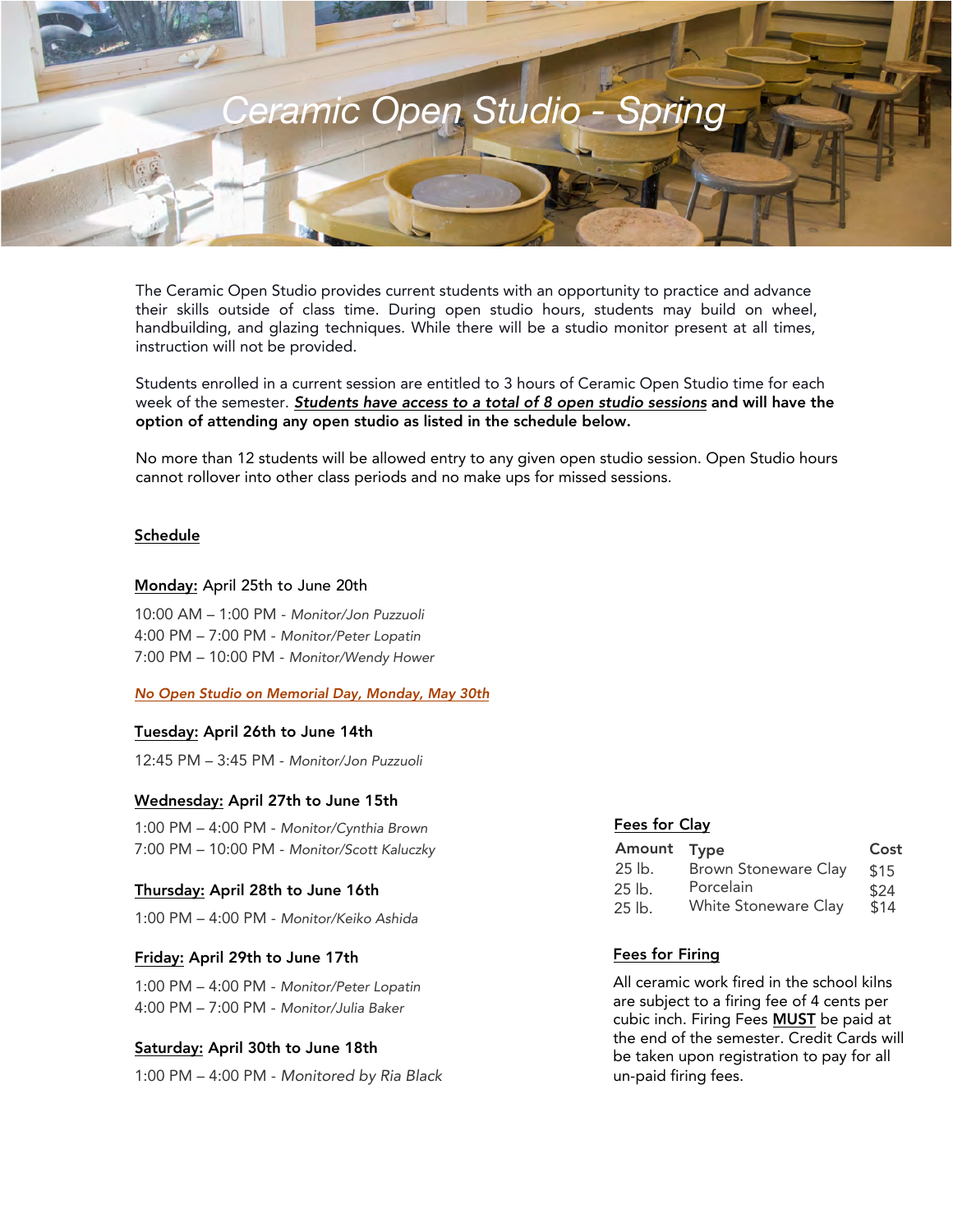

The Ceramic Open Studio provides current students with an opportunity to practice and advance their skills outside of class time. During open studio hours, students may build on wheel, handbuilding, and glazing techniques. While there will be a studio monitor present at all times, instruction will not be provided.

Students enrolled in a current session are entitled to 3 hours of Ceramic Open Studio time for each week of the semester. Students have access to a total of 8 open studio sessions and will have the option of attending any open studio as listed in the schedule below.

No more than 12 students will be allowed entry to any given open studio session. Open Studio hours cannot rollover into other class periods and no make ups for missed sessions.

### Schedule

#### Monday: April 25th to June 20th

10:00 AM – 1:00 PM - Monitor/Jon Puzzuoli 4:00 PM – 7:00 PM - Monitor/Peter Lopatin 7:00 PM – 10:00 PM - Monitor/Wendy Hower

No Open Studio on Memorial Day, Monday, May 30th

### Tuesday: April 26th to June 14th

12:45 PM – 3:45 PM - Monitor/Jon Puzzuoli

#### Wednesday: April 27th to June 15th

1:00 PM – 4:00 PM - Monitor/Cynthia Brown 7:00 PM – 10:00 PM - Monitor/Scott Kaluczky

#### Thursday: April 28th to June 16th

1:00 PM – 4:00 PM - Monitor/Keiko Ashida

### Friday: April 29th to June 17th

1:00 PM – 4:00 PM - Monitor/Peter Lopatin 4:00 PM – 7:00 PM - Monitor/Julia Baker

#### Saturday: April 30th to June 18th

1:00 PM – 4:00 PM - Monitored by Ria Black

### Fees for Clay

| Amount Type |                             | Cost |
|-------------|-----------------------------|------|
| $25$ lb.    | <b>Brown Stoneware Clay</b> | \$15 |
| 25 lb.      | Porcelain                   | \$24 |
| 25 lb.      | White Stoneware Clay        | \$14 |

### Fees for Firing

All ceramic work fired in the school kilns are subject to a firing fee of 4 cents per cubic inch. Firing Fees MUST be paid at the end of the semester. Credit Cards will be taken upon registration to pay for all un-paid firing fees.